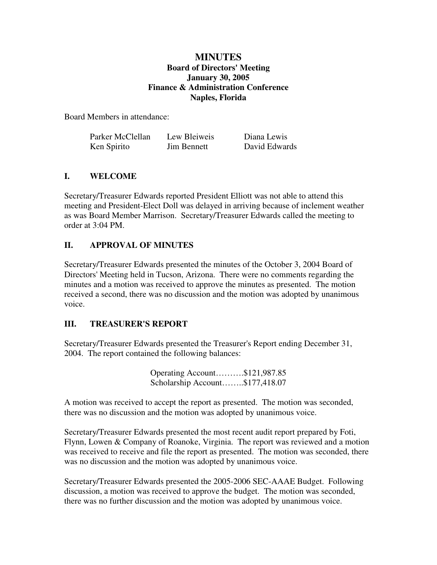# **MINUTES Board of Directors' Meeting January 30, 2005 Finance & Administration Conference Naples, Florida**

Board Members in attendance:

| Parker McClellan | Lew Bleiweis       | Diana Lewis   |
|------------------|--------------------|---------------|
| Ken Spirito      | <b>Jim Bennett</b> | David Edwards |

### **I. WELCOME**

Secretary/Treasurer Edwards reported President Elliott was not able to attend this meeting and President-Elect Doll was delayed in arriving because of inclement weather as was Board Member Marrison. Secretary/Treasurer Edwards called the meeting to order at 3:04 PM.

# **II. APPROVAL OF MINUTES**

Secretary/Treasurer Edwards presented the minutes of the October 3, 2004 Board of Directors' Meeting held in Tucson, Arizona. There were no comments regarding the minutes and a motion was received to approve the minutes as presented. The motion received a second, there was no discussion and the motion was adopted by unanimous voice.

# **III. TREASURER'S REPORT**

Secretary/Treasurer Edwards presented the Treasurer's Report ending December 31, 2004. The report contained the following balances:

> Operating Account……….\$121,987.85 Scholarship Account……..\$177,418.07

A motion was received to accept the report as presented. The motion was seconded, there was no discussion and the motion was adopted by unanimous voice.

Secretary/Treasurer Edwards presented the most recent audit report prepared by Foti, Flynn, Lowen & Company of Roanoke, Virginia. The report was reviewed and a motion was received to receive and file the report as presented. The motion was seconded, there was no discussion and the motion was adopted by unanimous voice.

Secretary/Treasurer Edwards presented the 2005-2006 SEC-AAAE Budget. Following discussion, a motion was received to approve the budget. The motion was seconded, there was no further discussion and the motion was adopted by unanimous voice.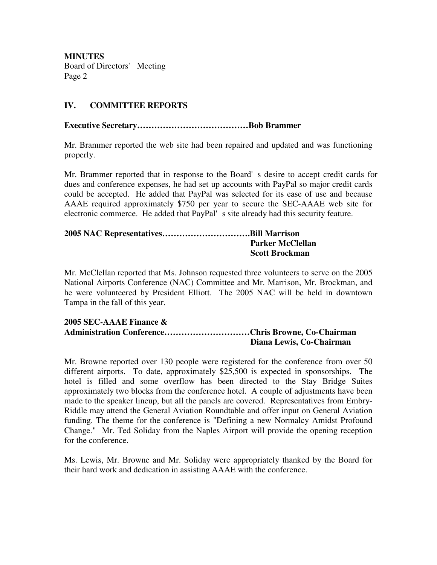# **IV. COMMITTEE REPORTS**

### **Executive Secretary…………………………………Bob Brammer**

Mr. Brammer reported the web site had been repaired and updated and was functioning properly.

Mr. Brammer reported that in response to the Board's desire to accept credit cards for dues and conference expenses, he had set up accounts with PayPal so major credit cards could be accepted. He added that PayPal was selected for its ease of use and because AAAE required approximately \$750 per year to secure the SEC-AAAE web site for electronic commerce. He added that PayPal's site already had this security feature.

#### **2005 NAC Representatives………………………….Bill Marrison Parker McClellan Scott Brockman**

Mr. McClellan reported that Ms. Johnson requested three volunteers to serve on the 2005 National Airports Conference (NAC) Committee and Mr. Marrison, Mr. Brockman, and he were volunteered by President Elliott. The 2005 NAC will be held in downtown Tampa in the fall of this year.

#### **2005 SEC-AAAE Finance & Administration Conference…………………………Chris Browne, Co-Chairman Diana Lewis, Co-Chairman**

Mr. Browne reported over 130 people were registered for the conference from over 50 different airports. To date, approximately \$25,500 is expected in sponsorships. The hotel is filled and some overflow has been directed to the Stay Bridge Suites approximately two blocks from the conference hotel. A couple of adjustments have been made to the speaker lineup, but all the panels are covered. Representatives from Embry-Riddle may attend the General Aviation Roundtable and offer input on General Aviation funding. The theme for the conference is "Defining a new Normalcy Amidst Profound Change." Mr. Ted Soliday from the Naples Airport will provide the opening reception for the conference.

Ms. Lewis, Mr. Browne and Mr. Soliday were appropriately thanked by the Board for their hard work and dedication in assisting AAAE with the conference.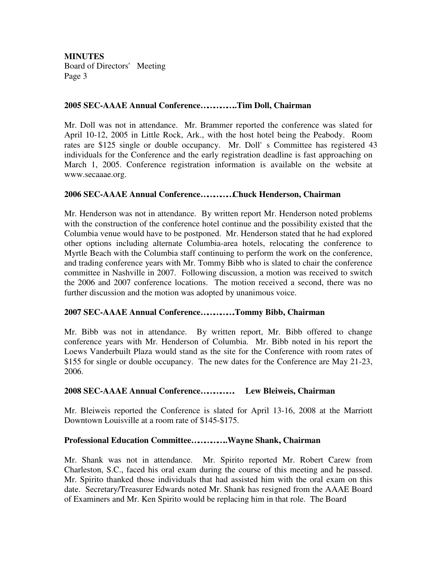### **2005 SEC-AAAE Annual Conference……………..Tim Doll, Chairman**

Mr. Doll was not in attendance. Mr. Brammer reported the conference was slated for April 10-12, 2005 in Little Rock, Ark., with the host hotel being the Peabody. Room rates are \$125 single or double occupancy. Mr. Doll's Committee has registered 43 individuals for the Conference and the early registration deadline is fast approaching on March 1, 2005. Conference registration information is available on the website at www.secaaae.org.

### **2006 SEC-AAAE Annual Conference……………Chuck Henderson, Chairman**

Mr. Henderson was not in attendance. By written report Mr. Henderson noted problems with the construction of the conference hotel continue and the possibility existed that the Columbia venue would have to be postponed. Mr. Henderson stated that he had explored other options including alternate Columbia-area hotels, relocating the conference to Myrtle Beach with the Columbia staff continuing to perform the work on the conference, and trading conference years with Mr. Tommy Bibb who is slated to chair the conference committee in Nashville in 2007. Following discussion, a motion was received to switch the 2006 and 2007 conference locations. The motion received a second, there was no further discussion and the motion was adopted by unanimous voice.

### **2007 SEC-AAAE Annual Conference…………….Tommy Bibb, Chairman**

Mr. Bibb was not in attendance. By written report, Mr. Bibb offered to change conference years with Mr. Henderson of Columbia. Mr. Bibb noted in his report the Loews Vanderbuilt Plaza would stand as the site for the Conference with room rates of \$155 for single or double occupancy. The new dates for the Conference are May 21-23, 2006.

### **2008 SEC-AAAE Annual Conference……………. Lew Bleiweis, Chairman**

Mr. Bleiweis reported the Conference is slated for April 13-16, 2008 at the Marriott Downtown Louisville at a room rate of \$145-\$175.

### **Professional Education Committee……………..Wayne Shank, Chairman**

Mr. Shank was not in attendance. Mr. Spirito reported Mr. Robert Carew from Charleston, S.C., faced his oral exam during the course of this meeting and he passed. Mr. Spirito thanked those individuals that had assisted him with the oral exam on this date. Secretary/Treasurer Edwards noted Mr. Shank has resigned from the AAAE Board of Examiners and Mr. Ken Spirito would be replacing him in that role. The Board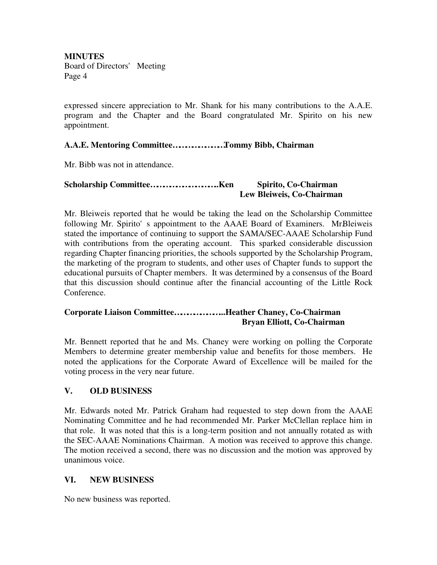expressed sincere appreciation to Mr. Shank for his many contributions to the A.A.E. program and the Chapter and the Board congratulated Mr. Spirito on his new appointment.

# **A.A.E. Mentoring Committee……………………Tommy Bibb, Chairman**

Mr. Bibb was not in attendance.

### **Scholarship Committee…………………………..Ken Spirito, Co-Chairman Lew Bleiweis, Co-Chairman**

Mr. Bleiweis reported that he would be taking the lead on the Scholarship Committee following Mr. Spirito's appointment to the AAAE Board of Examiners. MrBleiweis stated the importance of continuing to support the SAMA/SEC-AAAE Scholarship Fund with contributions from the operating account. This sparked considerable discussion regarding Chapter financing priorities, the schools supported by the Scholarship Program, the marketing of the program to students, and other uses of Chapter funds to support the educational pursuits of Chapter members. It was determined by a consensus of the Board that this discussion should continue after the financial accounting of the Little Rock Conference.

# **Corporate Liaison Committee…………………...Heather Chaney, Co-Chairman Bryan Elliott, Co-Chairman**

Mr. Bennett reported that he and Ms. Chaney were working on polling the Corporate Members to determine greater membership value and benefits for those members. He noted the applications for the Corporate Award of Excellence will be mailed for the voting process in the very near future.

# **V. OLD BUSINESS**

Mr. Edwards noted Mr. Patrick Graham had requested to step down from the AAAE Nominating Committee and he had recommended Mr. Parker McClellan replace him in that role. It was noted that this is a long-term position and not annually rotated as with the SEC-AAAE Nominations Chairman. A motion was received to approve this change. The motion received a second, there was no discussion and the motion was approved by unanimous voice.

# **VI. NEW BUSINESS**

No new business was reported.